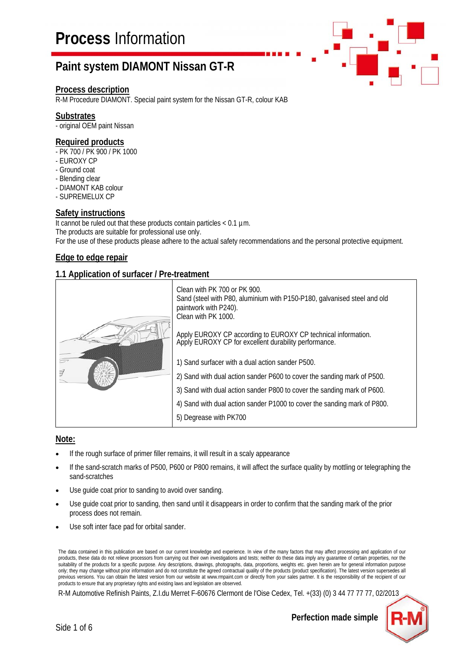#### **Process description**

R-M Procedure DIAMONT. Special paint system for the Nissan GT-R, colour KAB

#### **Substrates**

- original OEM paint Nissan

### **Required products**

- PK 700 / PK 900 / PK 1000
- EUROXY CP
- Ground coat
- Blending clear
- DIAMONT KAB colour
- SUPREMELUX CP

### **Safety instructions**

It cannot be ruled out that these products contain particles  $< 0.1$  um. The products are suitable for professional use only. For the use of these products please adhere to the actual safety recommendations and the personal protective equipment.

### **Edge to edge repair**

### **1.1 Application of surfacer / Pre-treatment**



#### **Note:**

- If the rough surface of primer filler remains, it will result in a scaly appearance
- If the sand-scratch marks of P500, P600 or P800 remains, it will affect the surface quality by mottling or telegraphing the sand-scratches
- Use guide coat prior to sanding to avoid over sanding.
- Use guide coat prior to sanding, then sand until it disappears in order to confirm that the sanding mark of the prior process does not remain.
- Use soft inter face pad for orbital sander.

The data contained in this publication are based on our current knowledge and experience. In view of the many factors that may affect processing and application of our products, these data do not relieve processors from carrying out their own investigations and tests; neither do these data imply any guarantee of certain properties, nor the suitability of the products for a specific purpose. Any descriptions, drawings, photographs, data, proportions, weights etc. given herein are for general information purpose only; they may change without prior information and do not constitute the agreed contractual quality of the products (product specification). The latest version supersedes all previous versions. You can obtain the latest version from our website at www.rmpaint.com or directly from your sales partner. It is the responsibility of the recipient of our products to ensure that any proprietary rights and existing laws and legislation are observed.

R-M Automotive Refinish Paints, Z.I.du Merret F-60676 Clermont de l'Oise Cedex, Tel. +(33) (0) 3 44 77 77 77, 02/2013



**Perfection made simple**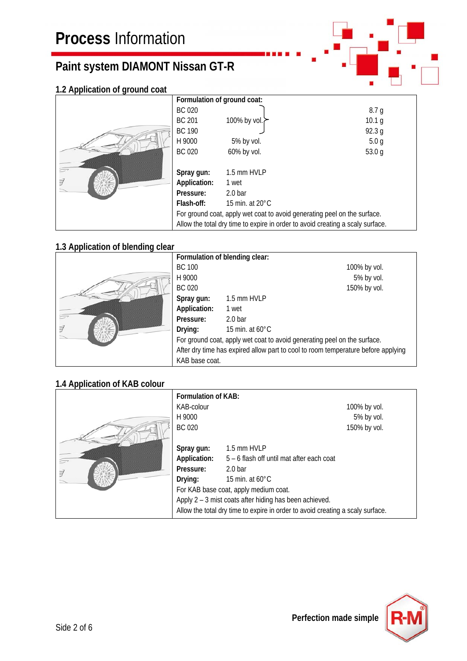### **1.2 Application of ground coat**

|   | Formulation of ground coat:                                                    |                           |                   |  |
|---|--------------------------------------------------------------------------------|---------------------------|-------------------|--|
|   | <b>BC 020</b>                                                                  |                           | 8.7 <sub>g</sub>  |  |
|   | <b>BC 201</b>                                                                  | 100% by vol.              | 10.1 g            |  |
|   | <b>BC 190</b>                                                                  |                           | 92.3 g            |  |
|   | H 9000                                                                         | 5% by vol.                | 5.0 <sub>q</sub>  |  |
|   | <b>BC 020</b>                                                                  | 60% by vol.               | 53.0 <sub>q</sub> |  |
|   |                                                                                |                           |                   |  |
|   | Spray gun:                                                                     | 1.5 mm HVLP               |                   |  |
| 7 | Application:                                                                   | 1 wet                     |                   |  |
|   | Pressure:                                                                      | $2.0b$ ar                 |                   |  |
|   | Flash-off:                                                                     | 15 min. at $20^{\circ}$ C |                   |  |
|   | For ground coat, apply wet coat to avoid generating peel on the surface.       |                           |                   |  |
|   | Allow the total dry time to expire in order to avoid creating a scaly surface. |                           |                   |  |

## **1.3 Application of blending clear**

|   | Formulation of blending clear:                                                    |                           |              |
|---|-----------------------------------------------------------------------------------|---------------------------|--------------|
|   | <b>BC 100</b>                                                                     |                           | 100% by vol. |
|   | H 9000                                                                            |                           | 5% by vol.   |
|   | <b>BC 020</b>                                                                     |                           | 150% by vol. |
|   | Spray gun:                                                                        | 1.5 mm HVLP               |              |
|   | Application:                                                                      | 1 wet                     |              |
|   | Pressure:                                                                         | 2.0 <sub>bar</sub>        |              |
| 7 | Drying:                                                                           | 15 min. at $60^{\circ}$ C |              |
|   | For ground coat, apply wet coat to avoid generating peel on the surface.          |                           |              |
|   | After dry time has expired allow part to cool to room temperature before applying |                           |              |
|   | KAB base coat.                                                                    |                           |              |

## **1.4 Application of KAB colour**

|   | <b>Formulation of KAB:</b>                                                     |                                           |  |
|---|--------------------------------------------------------------------------------|-------------------------------------------|--|
|   | KAB-colour                                                                     | 100% by vol.                              |  |
|   | H 9000                                                                         | 5% by vol.                                |  |
|   | <b>BC 020</b>                                                                  | 150% by vol.                              |  |
|   | Spray gun:                                                                     | 1.5 mm HVLP                               |  |
|   | Application:                                                                   | 5 – 6 flash off until mat after each coat |  |
| 7 | Pressure:                                                                      | 2.0 <sub>bar</sub>                        |  |
|   | Drying:                                                                        | 15 min. at $60^{\circ}$ C                 |  |
|   | For KAB base coat, apply medium coat.                                          |                                           |  |
|   | Apply 2 - 3 mist coats after hiding has been achieved.                         |                                           |  |
|   | Allow the total dry time to expire in order to avoid creating a scaly surface. |                                           |  |

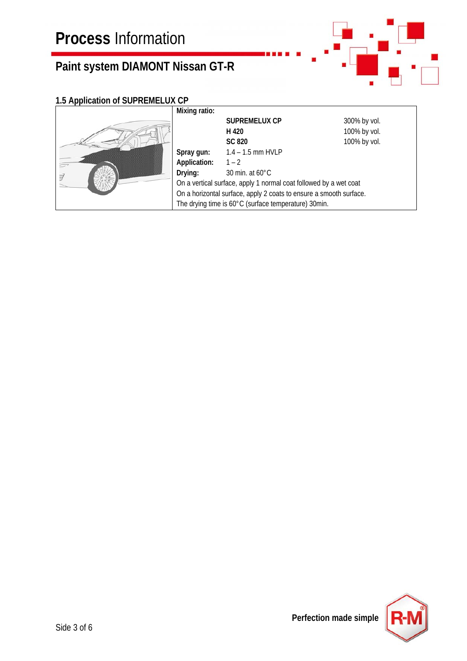

## **1.5 Application of SUPREMELUX CP**

|  | Mixing ratio:                                                      |                                                      |              |
|--|--------------------------------------------------------------------|------------------------------------------------------|--------------|
|  |                                                                    | <b>SUPREMELUX CP</b>                                 | 300% by vol. |
|  |                                                                    | H 420                                                | 100% by vol. |
|  |                                                                    | <b>SC 820</b>                                        | 100% by vol. |
|  | Spray gun:                                                         | $1.4 - 1.5$ mm HVLP                                  |              |
|  | Application:                                                       | $1 - 2$                                              |              |
|  | Drying:                                                            | 30 min. at $60^{\circ}$ C                            |              |
|  | On a vertical surface, apply 1 normal coat followed by a wet coat  |                                                      |              |
|  | On a horizontal surface, apply 2 coats to ensure a smooth surface. |                                                      |              |
|  |                                                                    | The drying time is 60°C (surface temperature) 30min. |              |

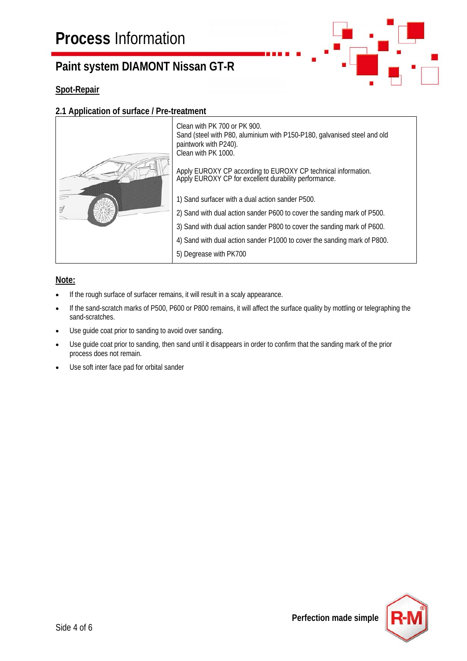### **Spot-Repair**

### **2.1 Application of surface / Pre-treatment**



### **Note:**

- If the rough surface of surfacer remains, it will result in a scaly appearance.
- If the sand-scratch marks of P500, P600 or P800 remains, it will affect the surface quality by mottling or telegraphing the sand-scratches.
- Use guide coat prior to sanding to avoid over sanding.
- Use guide coat prior to sanding, then sand until it disappears in order to confirm that the sanding mark of the prior process does not remain.
- Use soft inter face pad for orbital sander

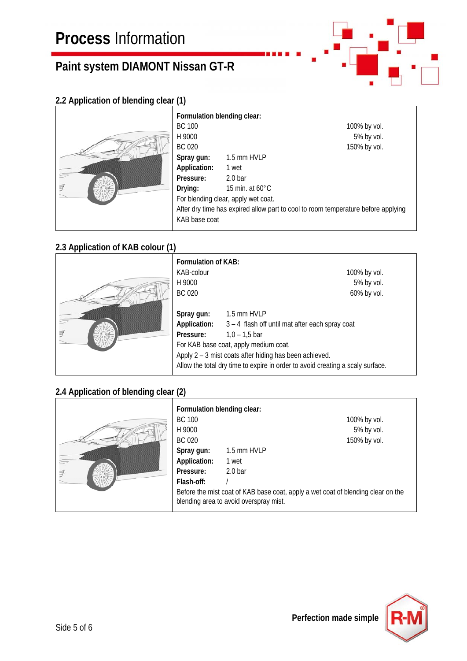

## **2.2 Application of blending clear (1)**

|  | For<br>ВC<br>H <sub>9</sub> |
|--|-----------------------------|
|  | ВC                          |
|  |                             |
|  | Spr<br>App<br>Pre           |
|  |                             |
|  | Dry                         |
|  | For                         |
|  | Afte                        |
|  | <b>KAE</b>                  |
|  |                             |

| Formulation blending clear: |                                     |                                                                                   |
|-----------------------------|-------------------------------------|-----------------------------------------------------------------------------------|
| BC 100                      |                                     | 100% by vol.                                                                      |
| H 9000                      |                                     | 5% by vol.                                                                        |
| BC 020                      |                                     | 150% by vol.                                                                      |
| Spray gun:                  | 1.5 mm HVLP                         |                                                                                   |
| Application:                | 1 wet                               |                                                                                   |
| Pressure:                   | $2.0b$ ar                           |                                                                                   |
| Drying:                     | 15 min. at $60^{\circ}$ C           |                                                                                   |
|                             | For blending clear, apply wet coat. |                                                                                   |
|                             |                                     | After dry time has expired allow part to cool to room temperature before applying |
| KAB base coat               |                                     |                                                                                   |
|                             |                                     |                                                                                   |

## **2.3 Application of KAB colour (1)**



| <b>Formulation of KAB:</b>                                                     |                                                        |              |  |
|--------------------------------------------------------------------------------|--------------------------------------------------------|--------------|--|
| KAB-colour                                                                     |                                                        | 100% by vol. |  |
| H 9000                                                                         |                                                        | 5% by vol.   |  |
| BC 020                                                                         |                                                        | 60% by vol.  |  |
| Spray gun:                                                                     | 1.5 mm HVLP                                            |              |  |
| Application:                                                                   | 3 - 4 flash off until mat after each spray coat        |              |  |
| Pressure:                                                                      | $1,0 - 1,5$ bar                                        |              |  |
|                                                                                | For KAB base coat, apply medium coat.                  |              |  |
|                                                                                | Apply 2 – 3 mist coats after hiding has been achieved. |              |  |
| Allow the total dry time to expire in order to avoid creating a scaly surface. |                                                        |              |  |

### **2.4 Application of blending clear (2)**

|  | Formulation blending clear:                                                                                                |             |              |
|--|----------------------------------------------------------------------------------------------------------------------------|-------------|--------------|
|  | <b>BC 100</b>                                                                                                              |             | 100% by vol. |
|  | H 9000                                                                                                                     |             | 5% by vol.   |
|  | BC 020                                                                                                                     |             | 150% by vol. |
|  | Spray gun:                                                                                                                 | 1.5 mm HVLP |              |
|  | Application:                                                                                                               | 1 wet       |              |
|  | Pressure:                                                                                                                  | $2.0b$ ar   |              |
|  | Flash-off:                                                                                                                 |             |              |
|  | Before the mist coat of KAB base coat, apply a wet coat of blending clear on the<br>blending area to avoid overspray mist. |             |              |